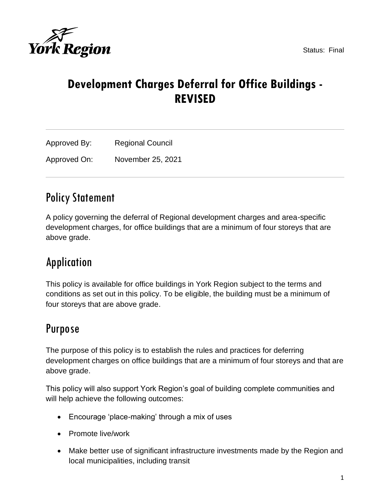

# **Development Charges Deferral for Office Buildings - REVISED**

| Approved By: | <b>Regional Council</b> |
|--------------|-------------------------|
| Approved On: | November 25, 2021       |

# Policy Statement

A policy governing the deferral of Regional development charges and area-specific development charges, for office buildings that are a minimum of four storeys that are above grade.

# Application

This policy is available for office buildings in York Region subject to the terms and conditions as set out in this policy. To be eligible, the building must be a minimum of four storeys that are above grade.

# Purpose

The purpose of this policy is to establish the rules and practices for deferring development charges on office buildings that are a minimum of four storeys and that are above grade.

This policy will also support York Region's goal of building complete communities and will help achieve the following outcomes:

- Encourage 'place-making' through a mix of uses
- Promote live/work
- Make better use of significant infrastructure investments made by the Region and local municipalities, including transit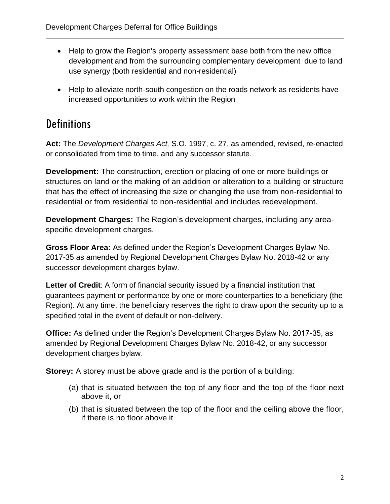- Help to grow the Region's property assessment base both from the new office development and from the surrounding complementary development due to land use synergy (both residential and non-residential)
- Help to alleviate north-south congestion on the roads network as residents have increased opportunities to work within the Region

# **Definitions**

**Act:** The *Development Charges Act,* S.O. 1997, c. 27, as amended, revised, re-enacted or consolidated from time to time, and any successor statute.

**Development:** The construction, erection or placing of one or more buildings or structures on land or the making of an addition or alteration to a building or structure that has the effect of increasing the size or changing the use from non-residential to residential or from residential to non-residential and includes redevelopment.

**Development Charges:** The Region's development charges, including any areaspecific development charges.

**Gross Floor Area:** As defined under the Region's Development Charges Bylaw No. 2017-35 as amended by Regional Development Charges Bylaw No. 2018-42 or any successor development charges bylaw.

Letter of Credit: A form of financial security issued by a financial institution that guarantees payment or performance by one or more counterparties to a beneficiary (the Region). At any time, the beneficiary reserves the right to draw upon the security up to a specified total in the event of default or non-delivery.

**Office:** As defined under the Region's Development Charges Bylaw No. 2017-35, as amended by Regional Development Charges Bylaw No. 2018-42, or any successor development charges bylaw.

**Storey:** A storey must be above grade and is the portion of a building:

- (a) that is situated between the top of any floor and the top of the floor next above it, or
- (b) that is situated between the top of the floor and the ceiling above the floor, if there is no floor above it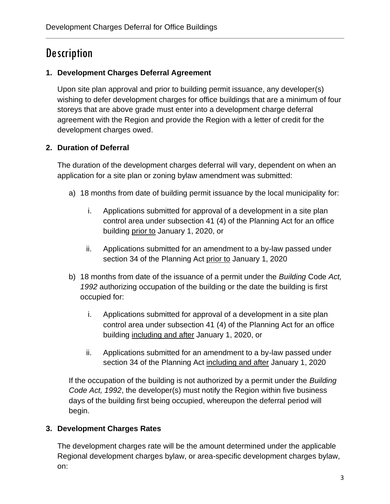# **Description**

## **1. Development Charges Deferral Agreement**

Upon site plan approval and prior to building permit issuance, any developer(s) wishing to defer development charges for office buildings that are a minimum of four storeys that are above grade must enter into a development charge deferral agreement with the Region and provide the Region with a letter of credit for the development charges owed.

## **2. Duration of Deferral**

The duration of the development charges deferral will vary, dependent on when an application for a site plan or zoning bylaw amendment was submitted:

- a) 18 months from date of building permit issuance by the local municipality for:
	- i. Applications submitted for approval of a development in a site plan control area under subsection 41 (4) of the Planning Act for an office building prior to January 1, 2020, or
	- ii. Applications submitted for an amendment to a by-law passed under section 34 of the Planning Act prior to January 1, 2020
- b) 18 months from date of the issuance of a permit under the *Building* Code *Act, 1992* authorizing occupation of the building or the date the building is first occupied for:
	- i. Applications submitted for approval of a development in a site plan control area under subsection 41 (4) of the Planning Act for an office building including and after January 1, 2020, or
	- ii. Applications submitted for an amendment to a by-law passed under section 34 of the Planning Act including and after January 1, 2020

If the occupation of the building is not authorized by a permit under the *Building Code Act, 1992*, the developer(s) must notify the Region within five business days of the building first being occupied, whereupon the deferral period will begin.

## **3. Development Charges Rates**

The development charges rate will be the amount determined under the applicable Regional development charges bylaw, or area-specific development charges bylaw, on: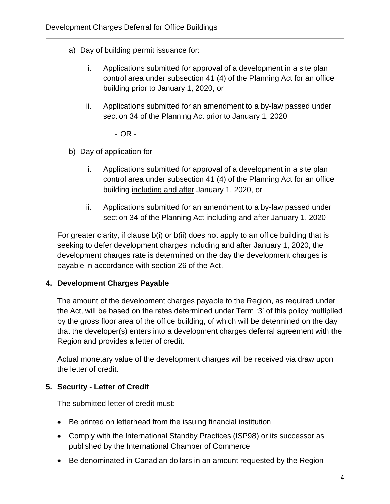- a) Day of building permit issuance for:
	- i. Applications submitted for approval of a development in a site plan control area under subsection 41 (4) of the Planning Act for an office building prior to January 1, 2020, or
	- ii. Applications submitted for an amendment to a by-law passed under section 34 of the Planning Act prior to January 1, 2020

- OR -

- b) Day of application for
	- i. Applications submitted for approval of a development in a site plan control area under subsection 41 (4) of the Planning Act for an office building including and after January 1, 2020, or
	- ii. Applications submitted for an amendment to a by-law passed under section 34 of the Planning Act including and after January 1, 2020

For greater clarity, if clause b(i) or b(ii) does not apply to an office building that is seeking to defer development charges including and after January 1, 2020, the development charges rate is determined on the day the development charges is payable in accordance with section 26 of the Act.

## **4. Development Charges Payable**

The amount of the development charges payable to the Region, as required under the Act, will be based on the rates determined under Term '3' of this policy multiplied by the gross floor area of the office building, of which will be determined on the day that the developer(s) enters into a development charges deferral agreement with the Region and provides a letter of credit.

Actual monetary value of the development charges will be received via draw upon the letter of credit.

## **5. Security - Letter of Credit**

The submitted letter of credit must:

- Be printed on letterhead from the issuing financial institution
- Comply with the International Standby Practices (ISP98) or its successor as published by the International Chamber of Commerce
- Be denominated in Canadian dollars in an amount requested by the Region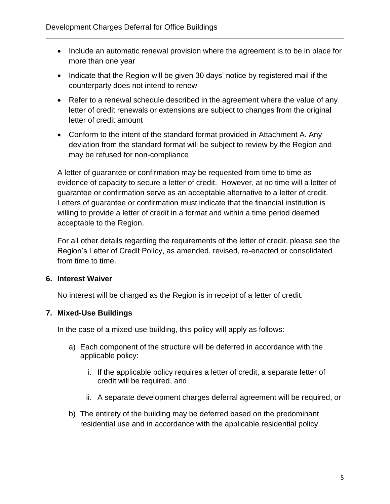- Include an automatic renewal provision where the agreement is to be in place for more than one year
- Indicate that the Region will be given 30 days' notice by registered mail if the counterparty does not intend to renew
- Refer to a renewal schedule described in the agreement where the value of any letter of credit renewals or extensions are subject to changes from the original letter of credit amount
- Conform to the intent of the standard format provided in Attachment A. Any deviation from the standard format will be subject to review by the Region and may be refused for non-compliance

A letter of guarantee or confirmation may be requested from time to time as evidence of capacity to secure a letter of credit. However, at no time will a letter of guarantee or confirmation serve as an acceptable alternative to a letter of credit. Letters of guarantee or confirmation must indicate that the financial institution is willing to provide a letter of credit in a format and within a time period deemed acceptable to the Region.

For all other details regarding the requirements of the letter of credit, please see the Region's Letter of Credit Policy, as amended, revised, re-enacted or consolidated from time to time.

## **6. Interest Waiver**

No interest will be charged as the Region is in receipt of a letter of credit.

## **7. Mixed-Use Buildings**

In the case of a mixed-use building, this policy will apply as follows:

- a) Each component of the structure will be deferred in accordance with the applicable policy:
	- i. If the applicable policy requires a letter of credit, a separate letter of credit will be required, and
	- ii. A separate development charges deferral agreement will be required, or
- b) The entirety of the building may be deferred based on the predominant residential use and in accordance with the applicable residential policy.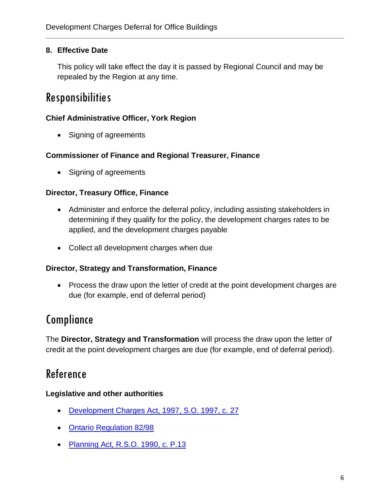### **8. Effective Date**

This policy will take effect the day it is passed by Regional Council and may be repealed by the Region at any time.

# Responsibilities

#### **Chief Administrative Officer, York Region**

• Signing of agreements

#### **Commissioner of Finance and Regional Treasurer, Finance**

• Signing of agreements

#### **Director, Treasury Office, Finance**

- Administer and enforce the deferral policy, including assisting stakeholders in determining if they qualify for the policy, the development charges rates to be applied, and the development charges payable
- Collect all development charges when due

#### **Director, Strategy and Transformation, Finance**

• Process the draw upon the letter of credit at the point development charges are due (for example, end of deferral period)

## Compliance

The **Director, Strategy and Transformation** will process the draw upon the letter of credit at the point development charges are due (for example, end of deferral period).

# Reference

#### **Legislative and other authorities**

- [Development Charges Act, 1997,](https://www.ontario.ca/laws/statute/97d27) S.O. 1997, c. 27
- [Ontario Regulation 82/98](https://www.ontario.ca/laws/regulation/980082)
- [Planning Act, R.S.O. 1990, c. P.13](https://www.ontario.ca/laws/statute/90p13)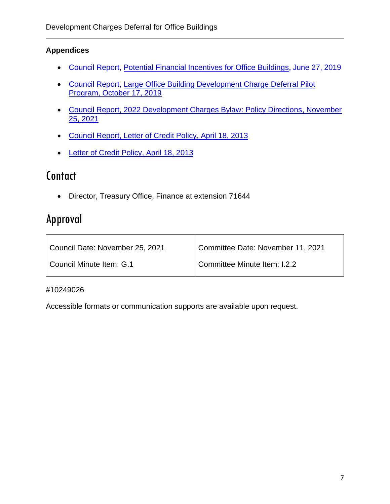## **Appendices**

- Council Report, [Potential Financial Incentives for Office Buildings](https://yorkpublishing.escribemeetings.com/filestream.ashx?DocumentId=6859), June 27, 2019
- Council Report, [Large Office Building Development Charge Deferral Pilot](https://yorkpublishing.escribemeetings.com/filestream.ashx?DocumentId=9165)  [Program, October 17, 2019](https://yorkpublishing.escribemeetings.com/filestream.ashx?DocumentId=9165)
- [Council Report, 2022 Development Charges Bylaw: Policy Directions, November](https://yorkpublishing.escribemeetings.com/Meeting.aspx?Id=228608f4-d57d-485a-a462-b12bec2e4b08&Agenda=PostMinutes&lang=English&Item=39&Tab=attachments)  [25, 2021](https://yorkpublishing.escribemeetings.com/Meeting.aspx?Id=228608f4-d57d-485a-a462-b12bec2e4b08&Agenda=PostMinutes&lang=English&Item=39&Tab=attachments)
- [Council Report, Letter of Credit Policy, April 18, 2013](http://archives.york.ca/councilcommitteearchives/pdf/rpt%204%20cls%201-3.pdf)
- [Letter of Credit Policy, April 18, 2013](https://www.york.ca/wps/wcm/connect/yorkpublic/5c62477a-2718-4c82-8dac-bfd42592f640/Letter+of+Credit+-+Finance+and+Administration.pdf?MOD=AJPERES)

# **Contact**

• Director, Treasury Office, Finance at extension 71644

# Approval

| Council Date: November 25, 2021 | Committee Date: November 11, 2021 |  |
|---------------------------------|-----------------------------------|--|
| Council Minute Item: G.1        | Committee Minute Item: I.2.2      |  |

#### #10249026

Accessible formats or communication supports are available upon request.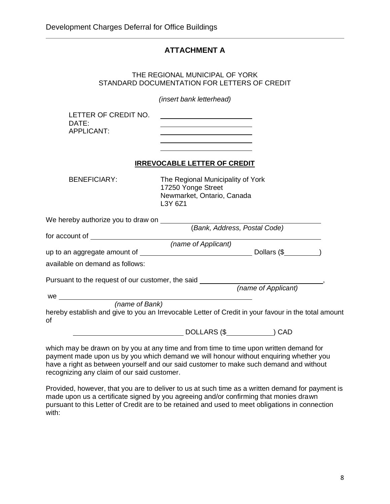### **ATTACHMENT A**

#### THE REGIONAL MUNICIPAL OF YORK STANDARD DOCUMENTATION FOR LETTERS OF CREDIT

*(insert bank letterhead)*

LETTER OF CREDIT NO. DATE: APPLICANT:

#### **IRREVOCABLE LETTER OF CREDIT**

BENEFICIARY: The Regional Municipality of York 17250 Yonge Street Newmarket, Ontario, Canada L3Y 6Z1

<u> 1990 - Johann Barbara, martin a</u>

| We hereby authorize you to draw on                                                                        |                             |  |  |  |
|-----------------------------------------------------------------------------------------------------------|-----------------------------|--|--|--|
|                                                                                                           | Bank, Address, Postal Code) |  |  |  |
| for account of                                                                                            |                             |  |  |  |
| (name of Applicant)                                                                                       |                             |  |  |  |
| up to an aggregate amount of                                                                              | Dollars (\$                 |  |  |  |
| available on demand as follows:                                                                           |                             |  |  |  |
| Pursuant to the request of our customer, the said                                                         | (name of Applicant)         |  |  |  |
| we                                                                                                        |                             |  |  |  |
| (name of Bank)                                                                                            |                             |  |  |  |
| hereby establish and give to you an Irrevocable Letter of Credit in your favour in the total amount<br>of |                             |  |  |  |
|                                                                                                           | DOLLARS (\$<br>) CAD        |  |  |  |

which may be drawn on by you at any time and from time to time upon written demand for payment made upon us by you which demand we will honour without enquiring whether you have a right as between yourself and our said customer to make such demand and without recognizing any claim of our said customer.

Provided, however, that you are to deliver to us at such time as a written demand for payment is made upon us a certificate signed by you agreeing and/or confirming that monies drawn pursuant to this Letter of Credit are to be retained and used to meet obligations in connection with: